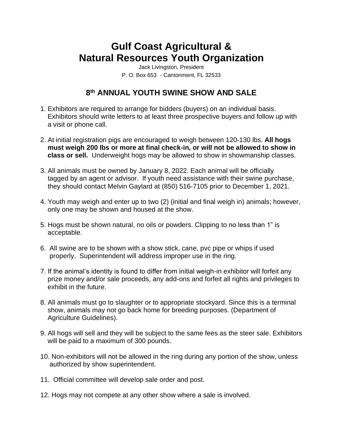## **Gulf Coast Agricultural & Natural Resources Youth Organization**

Jack Livingston, President P. O. Box  $653$   $\cdot$  Cantonment, FL 32533

## **8 th ANNUAL YOUTH SWINE SHOW AND SALE**

- 1. Exhibitors are required to arrange for bidders (buyers) on an individual basis. Exhibitors should write letters to at least three prospective buyers and follow up with a visit or phone call.
- 2. At initial registration pigs are encouraged to weigh between 120-130 lbs. **All hogs must weigh 200 lbs or more at final check-in, or will not be allowed to show in class or sell.** Underweight hogs may be allowed to show in showmanship classes.
- 3. All animals must be owned by January 8, 2022. Each animal will be officially tagged by an agent or advisor. If youth need assistance with their swine purchase, they should contact Melvin Gaylard at (850) 516-7105 prior to December 1, 2021.
- 4. Youth may weigh and enter up to two (2) (initial and final weigh in) animals; however, only one may be shown and housed at the show.
- 5. Hogs must be shown natural, no oils or powders. Clipping to no less than 1" is acceptable.
- 6. All swine are to be shown with a show stick, cane, pvc pipe or whips if used properly. Superintendent will address improper use in the ring.
- 7. If the animal's identity is found to differ from initial weigh-in exhibitor will forfeit any prize money and/or sale proceeds, any add-ons and forfeit all rights and privileges to exhibit in the future.
- 8. All animals must go to slaughter or to appropriate stockyard. Since this is a terminal show, animals may not go back home for breeding purposes. (Department of Agriculture Guidelines).
- 9. All hogs will sell and they will be subject to the same fees as the steer sale. Exhibitors will be paid to a maximum of 300 pounds.
- 10. Non-exhibitors will not be allowed in the ring during any portion of the show, unless authorized by show superintendent.
- 11. Official committee will develop sale order and post.
- 12. Hogs may not compete at any other show where a sale is involved.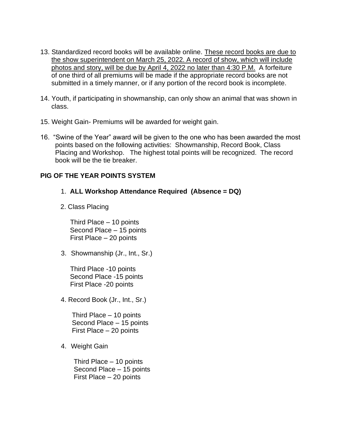- 13. Standardized record books will be available online. These record books are due to the show superintendent on March 25, 2022. A record of show, which will include photos and story, will be due by April 4, 2022 no later than 4:30 P.M. A forfeiture of one third of all premiums will be made if the appropriate record books are not submitted in a timely manner, or if any portion of the record book is incomplete.
- 14. Youth, if participating in showmanship, can only show an animal that was shown in class.
- 15. Weight Gain- Premiums will be awarded for weight gain.
- 16. "Swine of the Year" award will be given to the one who has been awarded the most points based on the following activities: Showmanship, Record Book, Class Placing and Workshop. The highest total points will be recognized. The record book will be the tie breaker.

## **PIG OF THE YEAR POINTS SYSTEM**

- 1. **ALL Workshop Attendance Required (Absence = DQ)**
- 2. Class Placing

 Third Place – 10 points Second Place – 15 points First Place – 20 points

3. Showmanship (Jr., Int., Sr.)

 Third Place -10 points Second Place -15 points First Place -20 points

4. Record Book (Jr., Int., Sr.)

 Third Place – 10 points Second Place – 15 points First Place – 20 points

4. Weight Gain

 Third Place – 10 points Second Place – 15 points First Place – 20 points